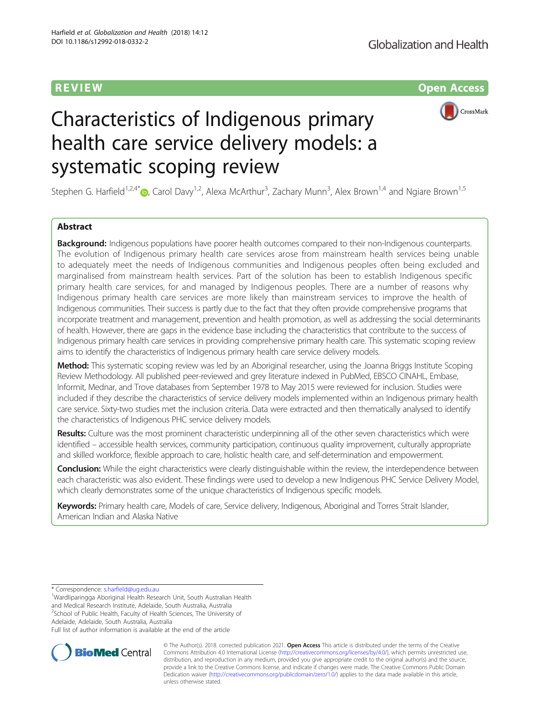**REVIEW CONSULTANT CONTROL** 



# Characteristics of Indigenous primary health care service delivery models: a systematic scoping review

Stephen G. Harfield<sup>1[,](http://orcid.org/0000-0002-6283-2350)2,4\*</sup>®, Carol Davy<sup>1,2</sup>, Alexa McArthur<sup>3</sup>, Zachary Munn<sup>3</sup>, Alex Brown<sup>1,4</sup> and Ngiare Brown<sup>1,5</sup>

# Abstract

Background: Indigenous populations have poorer health outcomes compared to their non-Indigenous counterparts. The evolution of Indigenous primary health care services arose from mainstream health services being unable to adequately meet the needs of Indigenous communities and Indigenous peoples often being excluded and marginalised from mainstream health services. Part of the solution has been to establish Indigenous specific primary health care services, for and managed by Indigenous peoples. There are a number of reasons why Indigenous primary health care services are more likely than mainstream services to improve the health of Indigenous communities. Their success is partly due to the fact that they often provide comprehensive programs that incorporate treatment and management, prevention and health promotion, as well as addressing the social determinants of health. However, there are gaps in the evidence base including the characteristics that contribute to the success of Indigenous primary health care services in providing comprehensive primary health care. This systematic scoping review aims to identify the characteristics of Indigenous primary health care service delivery models.

Method: This systematic scoping review was led by an Aboriginal researcher, using the Joanna Briggs Institute Scoping Review Methodology. All published peer-reviewed and grey literature indexed in PubMed, EBSCO CINAHL, Embase, Informit, Mednar, and Trove databases from September 1978 to May 2015 were reviewed for inclusion. Studies were included if they describe the characteristics of service delivery models implemented within an Indigenous primary health care service. Sixty-two studies met the inclusion criteria. Data were extracted and then thematically analysed to identify the characteristics of Indigenous PHC service delivery models.

Results: Culture was the most prominent characteristic underpinning all of the other seven characteristics which were identified – accessible health services, community participation, continuous quality improvement, culturally appropriate and skilled workforce, flexible approach to care, holistic health care, and self-determination and empowerment.

Conclusion: While the eight characteristics were clearly distinguishable within the review, the interdependence between each characteristic was also evident. These findings were used to develop a new Indigenous PHC Service Delivery Model, which clearly demonstrates some of the unique characteristics of Indigenous specific models.

Keywords: Primary health care, Models of care, Service delivery, Indigenous, Aboriginal and Torres Strait Islander, American Indian and Alaska Native

\* Correspondence: [s.harfield@ug.edu.au](mailto:s.harfield@ug.edu.au) <sup>1</sup>

Wardliparingga Aboriginal Health Research Unit, South Australian Health and Medical Research Institute, Adelaide, South Australia, Australia <sup>2</sup>School of Public Health, Faculty of Health Sciences, The University of

Adelaide, Adelaide, South Australia, Australia

Full list of author information is available at the end of the article



© The Author(s). 2018. corrected publication 2021. Open Access This article is distributed under the terms of the Creative Commons Attribution 4.0 International License ([http://creativecommons.org/licenses/by/4.0/\)](http://creativecommons.org/licenses/by/4.0/), which permits unrestricted use, distribution, and reproduction in any medium, provided you give appropriate credit to the original author(s) and the source, provide a link to the Creative Commons license, and indicate if changes were made. The Creative Commons Public Domain Dedication waiver [\(http://creativecommons.org/publicdomain/zero/1.0/](http://creativecommons.org/publicdomain/zero/1.0/)) applies to the data made available in this article, unless otherwise stated.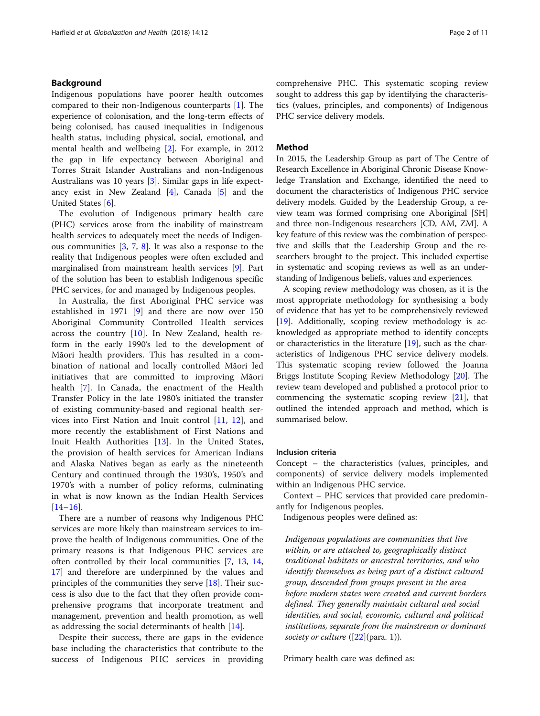# Background

Indigenous populations have poorer health outcomes compared to their non-Indigenous counterparts [[1\]](#page-8-0). The experience of colonisation, and the long-term effects of being colonised, has caused inequalities in Indigenous health status, including physical, social, emotional, and mental health and wellbeing [[2\]](#page-8-0). For example, in 2012 the gap in life expectancy between Aboriginal and Torres Strait Islander Australians and non-Indigenous Australians was 10 years [[3](#page-8-0)]. Similar gaps in life expectancy exist in New Zealand [[4](#page-8-0)], Canada [\[5](#page-8-0)] and the United States [[6\]](#page-8-0).

The evolution of Indigenous primary health care (PHC) services arose from the inability of mainstream health services to adequately meet the needs of Indigenous communities [\[3](#page-8-0), [7](#page-8-0), [8\]](#page-8-0). It was also a response to the reality that Indigenous peoples were often excluded and marginalised from mainstream health services [\[9\]](#page-8-0). Part of the solution has been to establish Indigenous specific PHC services, for and managed by Indigenous peoples.

In Australia, the first Aboriginal PHC service was established in 1971 [[9\]](#page-8-0) and there are now over 150 Aboriginal Community Controlled Health services across the country [\[10](#page-8-0)]. In New Zealand, health reform in the early 1990's led to the development of Māori health providers. This has resulted in a combination of national and locally controlled Māori led initiatives that are committed to improving Māori health [\[7](#page-8-0)]. In Canada, the enactment of the Health Transfer Policy in the late 1980's initiated the transfer of existing community-based and regional health services into First Nation and Inuit control [\[11](#page-8-0), [12\]](#page-8-0), and more recently the establishment of First Nations and Inuit Health Authorities [\[13](#page-8-0)]. In the United States, the provision of health services for American Indians and Alaska Natives began as early as the nineteenth Century and continued through the 1930's, 1950's and 1970's with a number of policy reforms, culminating in what is now known as the Indian Health Services  $[14–16]$  $[14–16]$  $[14–16]$  $[14–16]$ .

There are a number of reasons why Indigenous PHC services are more likely than mainstream services to improve the health of Indigenous communities. One of the primary reasons is that Indigenous PHC services are often controlled by their local communities [\[7](#page-8-0), [13,](#page-8-0) [14](#page-8-0), [17\]](#page-8-0) and therefore are underpinned by the values and principles of the communities they serve [\[18\]](#page-8-0). Their success is also due to the fact that they often provide comprehensive programs that incorporate treatment and management, prevention and health promotion, as well as addressing the social determinants of health [[14\]](#page-8-0).

Despite their success, there are gaps in the evidence base including the characteristics that contribute to the success of Indigenous PHC services in providing comprehensive PHC. This systematic scoping review sought to address this gap by identifying the characteristics (values, principles, and components) of Indigenous PHC service delivery models.

# Method

In 2015, the Leadership Group as part of The Centre of Research Excellence in Aboriginal Chronic Disease Knowledge Translation and Exchange, identified the need to document the characteristics of Indigenous PHC service delivery models. Guided by the Leadership Group, a review team was formed comprising one Aboriginal [SH] and three non-Indigenous researchers [CD, AM, ZM]. A key feature of this review was the combination of perspective and skills that the Leadership Group and the researchers brought to the project. This included expertise in systematic and scoping reviews as well as an understanding of Indigenous beliefs, values and experiences.

A scoping review methodology was chosen, as it is the most appropriate methodology for synthesising a body of evidence that has yet to be comprehensively reviewed [[19\]](#page-8-0). Additionally, scoping review methodology is acknowledged as appropriate method to identify concepts or characteristics in the literature [\[19](#page-8-0)], such as the characteristics of Indigenous PHC service delivery models. This systematic scoping review followed the Joanna Briggs Institute Scoping Review Methodology [\[20](#page-8-0)]. The review team developed and published a protocol prior to commencing the systematic scoping review  $[21]$  $[21]$ , that outlined the intended approach and method, which is summarised below.

# Inclusion criteria

Concept – the characteristics (values, principles, and components) of service delivery models implemented within an Indigenous PHC service.

Context – PHC services that provided care predominantly for Indigenous peoples.

Indigenous peoples were defined as:

Indigenous populations are communities that live within, or are attached to, geographically distinct traditional habitats or ancestral territories, and who identify themselves as being part of a distinct cultural group, descended from groups present in the area before modern states were created and current borders defined. They generally maintain cultural and social identities, and social, economic, cultural and political institutions, separate from the mainstream or dominant society or culture  $([22](para. 1))$  $([22](para. 1))$  $([22](para. 1))$ .

Primary health care was defined as: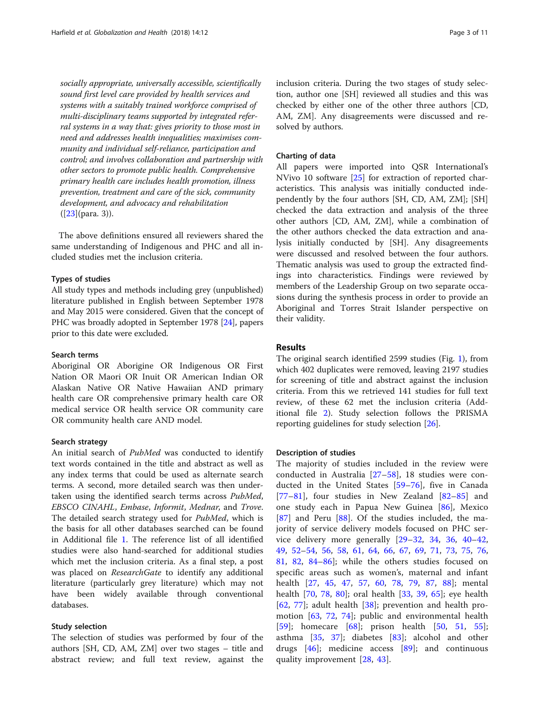socially appropriate, universally accessible, scientifically sound first level care provided by health services and systems with a suitably trained workforce comprised of multi-disciplinary teams supported by integrated referral systems in a way that: gives priority to those most in need and addresses health inequalities; maximises community and individual self-reliance, participation and control; and involves collaboration and partnership with other sectors to promote public health. Comprehensive primary health care includes health promotion, illness prevention, treatment and care of the sick, community development, and advocacy and rehabilitation ([[23\]](#page-8-0)(para. 3)).

The above definitions ensured all reviewers shared the same understanding of Indigenous and PHC and all included studies met the inclusion criteria.

## Types of studies

All study types and methods including grey (unpublished) literature published in English between September 1978 and May 2015 were considered. Given that the concept of PHC was broadly adopted in September 1978 [[24](#page-8-0)], papers prior to this date were excluded.

# Search terms

Aboriginal OR Aborigine OR Indigenous OR First Nation OR Maori OR Inuit OR American Indian OR Alaskan Native OR Native Hawaiian AND primary health care OR comprehensive primary health care OR medical service OR health service OR community care OR community health care AND model.

# Search strategy

An initial search of PubMed was conducted to identify text words contained in the title and abstract as well as any index terms that could be used as alternate search terms. A second, more detailed search was then undertaken using the identified search terms across PubMed, EBSCO CINAHL, Embase, Informit, Mednar, and Trove. The detailed search strategy used for PubMed, which is the basis for all other databases searched can be found in Additional file [1.](#page-7-0) The reference list of all identified studies were also hand-searched for additional studies which met the inclusion criteria. As a final step, a post was placed on ResearchGate to identify any additional literature (particularly grey literature) which may not have been widely available through conventional databases.

# Study selection

The selection of studies was performed by four of the authors [SH, CD, AM, ZM] over two stages – title and abstract review; and full text review, against the inclusion criteria. During the two stages of study selection, author one [SH] reviewed all studies and this was checked by either one of the other three authors [CD, AM, ZM]. Any disagreements were discussed and resolved by authors.

## Charting of data

All papers were imported into QSR International's NVivo 10 software [[25\]](#page-8-0) for extraction of reported characteristics. This analysis was initially conducted independently by the four authors [SH, CD, AM, ZM]; [SH] checked the data extraction and analysis of the three other authors [CD, AM, ZM], while a combination of the other authors checked the data extraction and analysis initially conducted by [SH]. Any disagreements were discussed and resolved between the four authors. Thematic analysis was used to group the extracted findings into characteristics. Findings were reviewed by members of the Leadership Group on two separate occasions during the synthesis process in order to provide an Aboriginal and Torres Strait Islander perspective on their validity.

# Results

The original search identified 2599 studies (Fig. [1](#page-3-0)), from which 402 duplicates were removed, leaving 2197 studies for screening of title and abstract against the inclusion criteria. From this we retrieved 141 studies for full text review, of these 62 met the inclusion criteria (Additional file [2\)](#page-7-0). Study selection follows the PRISMA reporting guidelines for study selection [[26\]](#page-8-0).

## Description of studies

The majority of studies included in the review were conducted in Australia [[27](#page-8-0)–[58](#page-9-0)], 18 studies were conducted in the United States [\[59](#page-9-0)–[76](#page-9-0)], five in Canada [[77](#page-9-0)–[81\]](#page-9-0), four studies in New Zealand  $[82-85]$  $[82-85]$  $[82-85]$  $[82-85]$  and one study each in Papua New Guinea [[86\]](#page-9-0), Mexico [[87\]](#page-9-0) and Peru [[88\]](#page-9-0). Of the studies included, the majority of service delivery models focused on PHC service delivery more generally [[29](#page-8-0)–[32,](#page-8-0) [34,](#page-8-0) [36](#page-8-0), [40](#page-8-0)–[42](#page-8-0), [49,](#page-8-0) [52](#page-9-0)–[54,](#page-9-0) [56](#page-9-0), [58](#page-9-0), [61](#page-9-0), [64](#page-9-0), [66,](#page-9-0) [67,](#page-9-0) [69,](#page-9-0) [71](#page-9-0), [73](#page-9-0), [75](#page-9-0), [76](#page-9-0), [81,](#page-9-0) [82,](#page-9-0) [84](#page-9-0)–[86\]](#page-9-0); while the others studies focused on specific areas such as women's, maternal and infant health [[27,](#page-8-0) [45,](#page-8-0) [47](#page-8-0), [57,](#page-9-0) [60](#page-9-0), [78,](#page-9-0) [79](#page-9-0), [87,](#page-9-0) [88](#page-9-0)]; mental health [[70,](#page-9-0) [78](#page-9-0), [80](#page-9-0)]; oral health [\[33](#page-8-0), [39,](#page-8-0) [65\]](#page-9-0); eye health  $[62, 77]$  $[62, 77]$  $[62, 77]$  $[62, 77]$  $[62, 77]$ ; adult health  $[38]$  $[38]$ ; prevention and health promotion [[63,](#page-9-0) [72,](#page-9-0) [74\]](#page-9-0); public and environmental health [[59\]](#page-9-0); homecare  $[68]$  $[68]$ ; prison health  $[50, 51, 55]$  $[50, 51, 55]$  $[50, 51, 55]$  $[50, 51, 55]$  $[50, 51, 55]$  $[50, 51, 55]$ ; asthma [\[35](#page-8-0), [37](#page-8-0)]; diabetes [[83\]](#page-9-0); alcohol and other drugs [\[46](#page-8-0)]; medicine access [\[89](#page-9-0)]; and continuous quality improvement [[28,](#page-8-0) [43](#page-8-0)].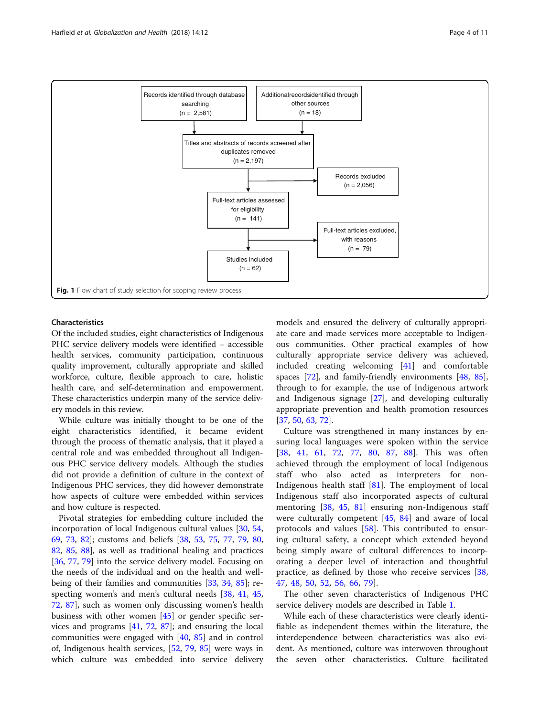<span id="page-3-0"></span>

# Characteristics

Of the included studies, eight characteristics of Indigenous PHC service delivery models were identified – accessible health services, community participation, continuous quality improvement, culturally appropriate and skilled workforce, culture, flexible approach to care, holistic health care, and self-determination and empowerment. These characteristics underpin many of the service delivery models in this review.

While culture was initially thought to be one of the eight characteristics identified, it became evident through the process of thematic analysis, that it played a central role and was embedded throughout all Indigenous PHC service delivery models. Although the studies did not provide a definition of culture in the context of Indigenous PHC services, they did however demonstrate how aspects of culture were embedded within services and how culture is respected.

Pivotal strategies for embedding culture included the incorporation of local Indigenous cultural values [\[30](#page-8-0), [54](#page-9-0), [69,](#page-9-0) [73,](#page-9-0) [82\]](#page-9-0); customs and beliefs [\[38,](#page-8-0) [53](#page-9-0), [75](#page-9-0), [77](#page-9-0), [79](#page-9-0), [80](#page-9-0), [82,](#page-9-0) [85,](#page-9-0) [88](#page-9-0)], as well as traditional healing and practices [[36,](#page-8-0) [77](#page-9-0), [79](#page-9-0)] into the service delivery model. Focusing on the needs of the individual and on the health and wellbeing of their families and communities [\[33](#page-8-0), [34,](#page-8-0) [85](#page-9-0)]; respecting women's and men's cultural needs [\[38](#page-8-0), [41](#page-8-0), [45](#page-8-0), [72,](#page-9-0) [87](#page-9-0)], such as women only discussing women's health business with other women [\[45](#page-8-0)] or gender specific services and programs [\[41](#page-8-0), [72](#page-9-0), [87](#page-9-0)]; and ensuring the local communities were engaged with [\[40](#page-8-0), [85\]](#page-9-0) and in control of, Indigenous health services, [[52,](#page-9-0) [79](#page-9-0), [85\]](#page-9-0) were ways in which culture was embedded into service delivery models and ensured the delivery of culturally appropriate care and made services more acceptable to Indigenous communities. Other practical examples of how culturally appropriate service delivery was achieved, included creating welcoming [[41\]](#page-8-0) and comfortable spaces [[72](#page-9-0)], and family-friendly environments [[48,](#page-8-0) [85](#page-9-0)], through to for example, the use of Indigenous artwork and Indigenous signage [[27\]](#page-8-0), and developing culturally appropriate prevention and health promotion resources [[37,](#page-8-0) [50,](#page-8-0) [63,](#page-9-0) [72](#page-9-0)].

Culture was strengthened in many instances by ensuring local languages were spoken within the service [[38,](#page-8-0) [41,](#page-8-0) [61](#page-9-0), [72,](#page-9-0) [77,](#page-9-0) [80](#page-9-0), [87,](#page-9-0) [88\]](#page-9-0). This was often achieved through the employment of local Indigenous staff who also acted as interpreters for non-Indigenous health staff [[81](#page-9-0)]. The employment of local Indigenous staff also incorporated aspects of cultural mentoring [\[38](#page-8-0), [45,](#page-8-0) [81\]](#page-9-0) ensuring non-Indigenous staff were culturally competent [\[45](#page-8-0), [84\]](#page-9-0) and aware of local protocols and values [[58](#page-9-0)]. This contributed to ensuring cultural safety, a concept which extended beyond being simply aware of cultural differences to incorporating a deeper level of interaction and thoughtful practice, as defined by those who receive services [\[38](#page-8-0), [47,](#page-8-0) [48,](#page-8-0) [50](#page-8-0), [52](#page-9-0), [56](#page-9-0), [66](#page-9-0), [79\]](#page-9-0).

The other seven characteristics of Indigenous PHC service delivery models are described in Table [1](#page-4-0).

While each of these characteristics were clearly identifiable as independent themes within the literature, the interdependence between characteristics was also evident. As mentioned, culture was interwoven throughout the seven other characteristics. Culture facilitated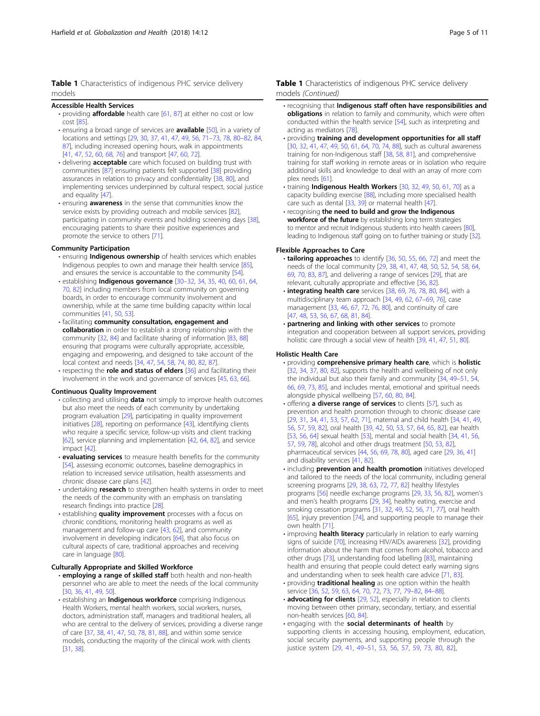# <span id="page-4-0"></span>Table 1 Characteristics of indigenous PHC service delivery models

## Accessible Health Services

- providing **affordable** health care [[61,](#page-9-0) [87\]](#page-9-0) at either no cost or low  $cost$  [[85](#page-9-0)].
- ensuring a broad range of services are **available** [[50](#page-8-0)], in a variety of locations and settings [\[29](#page-8-0), [30](#page-8-0), [37,](#page-8-0) [41](#page-8-0), [47,](#page-8-0) [49,](#page-8-0) [56](#page-9-0), [71](#page-9-0)–[73](#page-9-0), [78,](#page-9-0) [80](#page-9-0)–[82,](#page-9-0) [84](#page-9-0), [87\]](#page-9-0), including increased opening hours, walk in appointments [\[41,](#page-8-0) [47](#page-8-0), [52](#page-9-0), [60,](#page-9-0) [68](#page-9-0), [76\]](#page-9-0) and transport [47, 60, [72](#page-9-0)].
- delivering **acceptable** care which focused on building trust with communities [\[87\]](#page-9-0) ensuring patients felt supported [[38](#page-8-0)] providing assurances in relation to privacy and confidentiality [[38](#page-8-0), [80\]](#page-9-0), and implementing services underpinned by cultural respect, social justice and equality [\[47\]](#page-8-0).
- ensuring **awareness** in the sense that communities know the service exists by providing outreach and mobile services [\[82](#page-9-0)], participating in community events and holding screening days [\[38](#page-8-0)], encouraging patients to share their positive experiences and promote the service to others [[71](#page-9-0)].

#### Community Participation

- ensuring Indigenous ownership of health services which enables Indigenous peoples to own and manage their health service [\[85\]](#page-9-0), and ensures the service is accountable to the community [\[54\]](#page-9-0).
- establishing Indigenous governance [\[30](#page-8-0)–[32](#page-8-0), [34,](#page-8-0) [35](#page-8-0), [40](#page-8-0), [60,](#page-9-0) [61](#page-9-0), [64,](#page-9-0) [70,](#page-9-0) [82\]](#page-9-0) including members from local community on governing boards, in order to encourage community involvement and ownership, while at the same time building capacity within local communities [\[41,](#page-8-0) [50](#page-8-0), [53](#page-9-0)].
- facilitating community consultation, engagement and collaboration in order to establish a strong relationship with the community [\[32,](#page-8-0) [84](#page-9-0)] and facilitate sharing of information [[83](#page-9-0), [88\]](#page-9-0) ensuring that programs were culturally appropriate, accessible, engaging and empowering, and designed to take account of the local context and needs [[34](#page-8-0), [47,](#page-8-0) [54,](#page-9-0) [58](#page-9-0), [74,](#page-9-0) [80](#page-9-0), [82](#page-9-0), [87\]](#page-9-0).
- respecting the role and status of elders [\[36](#page-8-0)] and facilitating their involvement in the work and governance of services [[45](#page-8-0), [63,](#page-9-0) [66\]](#page-9-0).

# Continuous Quality Improvement

- collecting and utilising data not simply to improve health outcomes but also meet the needs of each community by undertaking program evaluation [\[29\]](#page-8-0), participating in quality improvement initiatives [\[28\]](#page-8-0), reporting on performance [[43](#page-8-0)], identifying clients who require a specific service, follow-up visits and client tracking [\[62\]](#page-9-0), service planning and implementation [\[42,](#page-8-0) [64](#page-9-0), [82\]](#page-9-0), and service impact [\[42](#page-8-0)].
- evaluating services to measure health benefits for the community [\[54\]](#page-9-0), assessing economic outcomes, baseline demographics in relation to increased service utilisation, health assessments and chronic disease care plans [\[42\]](#page-8-0).
- undertaking research to strengthen health systems in order to meet the needs of the community with an emphasis on translating research findings into practice [\[28\]](#page-8-0).
- establishing quality improvement processes with a focus on chronic conditions, monitoring health programs as well as management and follow-up care [\[43,](#page-8-0) [62](#page-9-0)], and community involvement in developing indicators [\[64\]](#page-9-0), that also focus on cultural aspects of care, traditional approaches and receiving care in language [\[80\]](#page-9-0).

# Culturally Appropriate and Skilled Workforce

- employing a range of skilled staff both health and non-health personnel who are able to meet the needs of the local community [\[30,](#page-8-0) [36](#page-8-0), [41](#page-8-0), [49,](#page-8-0) [50](#page-8-0)].
- establishing an **Indigenous workforce** comprising Indigenous Health Workers, mental health workers, social workers, nurses, doctors, administration staff, managers and traditional healers, all who are central to the delivery of services, providing a diverse range of care [\[37](#page-8-0), [38](#page-8-0), [41,](#page-8-0) [47](#page-8-0), [50](#page-8-0), [78,](#page-9-0) [81](#page-9-0), [88\]](#page-9-0), and within some service models, conducting the majority of the clinical work with clients [\[31,](#page-8-0) [38](#page-8-0)].

# Table 1 Characteristics of indigenous PHC service delivery models (Continued)

- recognising that Indigenous staff often have responsibilities and obligations in relation to family and community, which were often conducted within the health service [\[54](#page-9-0)], such as interpreting and acting as mediators [\[78\]](#page-9-0).
- providing training and development opportunities for all staff [\[30,](#page-8-0) [32](#page-8-0), [41](#page-8-0), [47,](#page-8-0) [49](#page-8-0), [50,](#page-8-0) [61,](#page-9-0) [64](#page-9-0), [70,](#page-9-0) [74](#page-9-0), [88](#page-9-0)], such as cultural awareness training for non-Indigenous staff [\[38](#page-8-0), [58](#page-9-0), [81\]](#page-9-0), and comprehensive training for staff working in remote areas or in isolation who require additional skills and knowledge to deal with an array of more com plex needs [\[61\]](#page-9-0).
- training Indigenous Health Workers [[30](#page-8-0), [32,](#page-8-0) [49](#page-8-0), [50](#page-8-0), [61,](#page-9-0) [70](#page-9-0)] as a capacity building exercise [[88\]](#page-9-0), including more specialised health care such as dental [\[33,](#page-8-0) [39](#page-8-0)] or maternal health [\[47](#page-8-0)].
- recognising the need to build and grow the Indigenous workforce of the future by establishing long term strategies to mentor and recruit Indigenous students into health careers [[80](#page-9-0)], leading to Indigenous staff going on to further training or study [\[32\]](#page-8-0).

# Flexible Approaches to Care

- tailoring approaches to identify [\[36,](#page-8-0) [50](#page-8-0), [55,](#page-9-0) [66,](#page-9-0) [72](#page-9-0)] and meet the needs of the local community [\[29,](#page-8-0) [38](#page-8-0), [41,](#page-8-0) [47](#page-8-0), [48](#page-8-0), [50,](#page-8-0) [52](#page-9-0), [54](#page-9-0), [58,](#page-9-0) [64](#page-9-0), [69,](#page-9-0) [70](#page-9-0), [83](#page-9-0), [87\]](#page-9-0), and delivering a range of services [\[29\]](#page-8-0), that are relevant, culturally appropriate and effective [\[36,](#page-8-0) [82](#page-9-0)].
- integrating health care services [[38,](#page-8-0) [69,](#page-9-0) [76](#page-9-0), [78,](#page-9-0) [80,](#page-9-0) [84](#page-9-0)], with a multidisciplinary team approach [\[34,](#page-8-0) [49](#page-8-0), [62,](#page-9-0) [67](#page-9-0)–[69,](#page-9-0) [76](#page-9-0)], case management [\[33](#page-8-0), [46](#page-8-0), [67,](#page-9-0) [72](#page-9-0), [76,](#page-9-0) [80\]](#page-9-0), and continuity of care [\[47,](#page-8-0) [48](#page-8-0), [53](#page-9-0), [56,](#page-9-0) [67](#page-9-0), [68,](#page-9-0) [81,](#page-9-0) [84](#page-9-0)].
- partnering and linking with other services to promote integration and cooperation between all support services, providing holistic care through a social view of health [[39](#page-8-0), [41,](#page-8-0) [47](#page-8-0), [51,](#page-8-0) [80\]](#page-9-0).

#### Holistic Health Care

- providing comprehensive primary health care, which is holistic [\[32,](#page-8-0) [34](#page-8-0), [37](#page-8-0), [80,](#page-9-0) [82](#page-9-0)], supports the health and wellbeing of not only the individual but also their family and community [[34,](#page-8-0) [49](#page-8-0)–[51,](#page-8-0) [54](#page-9-0), [66,](#page-9-0) [69](#page-9-0), [73](#page-9-0), [85\]](#page-9-0), and includes mental, emotional and spiritual needs alongside physical wellbeing [[57](#page-9-0), [60,](#page-9-0) [80,](#page-9-0) [84](#page-9-0)].
- offering a diverse range of services to clients [[57](#page-9-0)], such as prevention and health promotion through to chronic disease care [\[29,](#page-8-0) [31](#page-8-0), [34](#page-8-0), [41,](#page-8-0) [53](#page-9-0), [57,](#page-9-0) [62,](#page-9-0) [71](#page-9-0)], maternal and child health [\[34,](#page-8-0) [41](#page-8-0), [49,](#page-8-0) [56,](#page-9-0) [57](#page-9-0), [59](#page-9-0), [82\]](#page-9-0), oral health [\[39,](#page-8-0) [42](#page-8-0), [50,](#page-8-0) [53,](#page-9-0) [57](#page-9-0), [64,](#page-9-0) [65](#page-9-0), [82](#page-9-0)], ear health [\[53,](#page-9-0) [56](#page-9-0), [64](#page-9-0)] sexual health [\[53\]](#page-9-0), mental and social health [\[34,](#page-8-0) [41](#page-8-0), [56,](#page-9-0) [57,](#page-9-0) [59](#page-9-0), [78](#page-9-0)], alcohol and other drugs treatment [\[50,](#page-8-0) [53](#page-9-0), [82](#page-9-0)], pharmaceutical services [\[44,](#page-8-0) [56](#page-9-0), [69,](#page-9-0) [78,](#page-9-0) [80](#page-9-0)], aged care [\[29,](#page-8-0) [36](#page-8-0), [41\]](#page-8-0) and disability services [[41](#page-8-0), [82\]](#page-9-0).
- including prevention and health promotion initiatives developed and tailored to the needs of the local community, including general screening programs [\[29,](#page-8-0) [38](#page-8-0), [63,](#page-9-0) [72,](#page-9-0) [77](#page-9-0), [82\]](#page-9-0) healthy lifestyles programs [[56\]](#page-9-0) needle exchange programs [\[29](#page-8-0), [33](#page-8-0), [56,](#page-9-0) [82](#page-9-0)], women's and men's health programs [\[29,](#page-8-0) [34](#page-8-0)], healthy eating, exercise and smoking cessation programs [\[31,](#page-8-0) [32](#page-8-0), [49,](#page-8-0) [52,](#page-9-0) [56](#page-9-0), [71,](#page-9-0) [77](#page-9-0)], oral health [\[65\]](#page-9-0), injury prevention [[74](#page-9-0)], and supporting people to manage their own health [\[71\]](#page-9-0).
- · improving health literacy particularly in relation to early warning signs of suicide [[70](#page-9-0)], increasing HIV/AIDs awareness [\[32\]](#page-8-0), providing information about the harm that comes from alcohol, tobacco and other drugs [[73\]](#page-9-0), understanding food labelling [[83\]](#page-9-0), maintaining health and ensuring that people could detect early warning signs and understanding when to seek health care advice [\[71,](#page-9-0) [83](#page-9-0)].
- providing traditional healing as one option within the health service [\[36,](#page-8-0) [52](#page-9-0), [59](#page-9-0), [63,](#page-9-0) [64](#page-9-0), [70,](#page-9-0) [72,](#page-9-0) [73](#page-9-0), [77,](#page-9-0) [79](#page-9-0)–[82,](#page-9-0) [84](#page-9-0)–[88\]](#page-9-0).
- advocating for clients [[29](#page-8-0), [52\]](#page-9-0), especially in relation to clients moving between other primary, secondary, tertiary, and essential non-health services [\[60](#page-9-0), [84](#page-9-0)].
- engaging with the social determinants of health by supporting clients in accessing housing, employment, education, social security payments, and supporting people through the justice system [[29,](#page-8-0) [41](#page-8-0), [49](#page-8-0)–[51](#page-8-0), [53,](#page-9-0) [56](#page-9-0), [57,](#page-9-0) [59](#page-9-0), [73,](#page-9-0) [80](#page-9-0), [82\]](#page-9-0),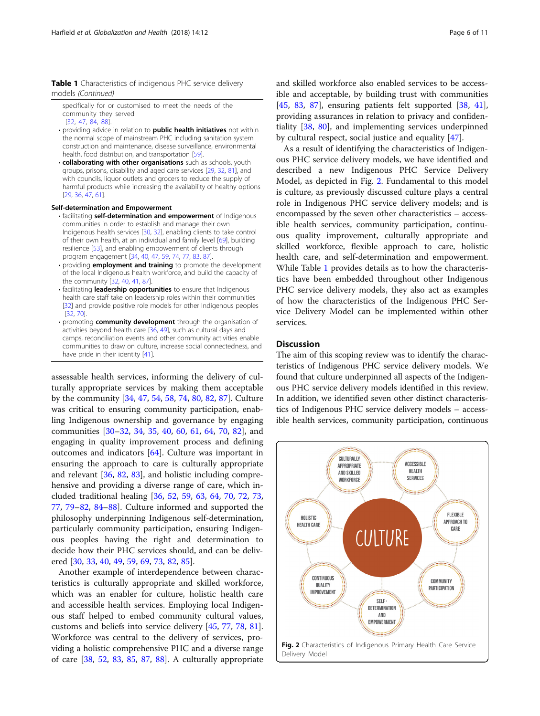Table 1 Characteristics of indigenous PHC service delivery models (Continued)

specifically for or customised to meet the needs of the community they served [\[32](#page-8-0), [47,](#page-8-0) [84](#page-9-0), [88\]](#page-9-0).

- providing advice in relation to public health initiatives not within the normal scope of mainstream PHC including sanitation system construction and maintenance, disease surveillance, environmental health, food distribution, and transportation [[59](#page-9-0)].
- collaborating with other organisations such as schools, youth groups, prisons, disability and aged care services [[29,](#page-8-0) [32,](#page-8-0) [81](#page-9-0)], and with councils, liquor outlets and grocers to reduce the supply of harmful products while increasing the availability of healthy options [\[29,](#page-8-0) [36](#page-8-0), [47](#page-8-0), [61\]](#page-9-0).

#### Self-determination and Empowerment

- facilitating self-determination and empowerment of Indigenous communities in order to establish and manage their own Indigenous health services [\[30,](#page-8-0) [32](#page-8-0)], enabling clients to take control of their own health, at an individual and family level [[69](#page-9-0)], building resilience [[53](#page-9-0)], and enabling empowerment of clients through program engagement [\[34](#page-8-0), [40,](#page-8-0) [47,](#page-8-0) [59](#page-9-0), [74,](#page-9-0) [77,](#page-9-0) [83](#page-9-0), [87\]](#page-9-0).
- providing **employment and training** to promote the development of the local Indigenous health workforce, and build the capacity of the community [[32,](#page-8-0) [40,](#page-8-0) [41](#page-8-0), [87\]](#page-9-0).
- facilitating leadership opportunities to ensure that Indigenous health care staff take on leadership roles within their communities [\[32\]](#page-8-0) and provide positive role models for other Indigenous peoples [\[32](#page-8-0), [70](#page-9-0)].
- promoting community development through the organisation of activities beyond health care [\[36](#page-8-0), [49](#page-8-0)], such as cultural days and camps, reconciliation events and other community activities enable communities to draw on culture, increase social connectedness, and have pride in their identity [\[41\]](#page-8-0).

assessable health services, informing the delivery of culturally appropriate services by making them acceptable by the community [[34,](#page-8-0) [47](#page-8-0), [54](#page-9-0), [58,](#page-9-0) [74,](#page-9-0) [80,](#page-9-0) [82](#page-9-0), [87](#page-9-0)]. Culture was critical to ensuring community participation, enabling Indigenous ownership and governance by engaging communities [[30](#page-8-0)–[32](#page-8-0), [34,](#page-8-0) [35](#page-8-0), [40,](#page-8-0) [60](#page-9-0), [61,](#page-9-0) [64](#page-9-0), [70](#page-9-0), [82\]](#page-9-0), and engaging in quality improvement process and defining outcomes and indicators [[64](#page-9-0)]. Culture was important in ensuring the approach to care is culturally appropriate and relevant [\[36](#page-8-0), [82](#page-9-0), [83\]](#page-9-0), and holistic including comprehensive and providing a diverse range of care, which included traditional healing [\[36](#page-8-0), [52,](#page-9-0) [59](#page-9-0), [63](#page-9-0), [64,](#page-9-0) [70](#page-9-0), [72,](#page-9-0) [73](#page-9-0), [77,](#page-9-0) [79](#page-9-0)–[82,](#page-9-0) [84](#page-9-0)–[88](#page-9-0)]. Culture informed and supported the philosophy underpinning Indigenous self-determination, particularly community participation, ensuring Indigenous peoples having the right and determination to decide how their PHC services should, and can be delivered [[30](#page-8-0), [33](#page-8-0), [40](#page-8-0), [49](#page-8-0), [59,](#page-9-0) [69,](#page-9-0) [73,](#page-9-0) [82,](#page-9-0) [85\]](#page-9-0).

Another example of interdependence between characteristics is culturally appropriate and skilled workforce, which was an enabler for culture, holistic health care and accessible health services. Employing local Indigenous staff helped to embed community cultural values, customs and beliefs into service delivery [[45,](#page-8-0) [77,](#page-9-0) [78](#page-9-0), [81](#page-9-0)]. Workforce was central to the delivery of services, providing a holistic comprehensive PHC and a diverse range of care [\[38](#page-8-0), [52](#page-9-0), [83,](#page-9-0) [85,](#page-9-0) [87,](#page-9-0) [88](#page-9-0)]. A culturally appropriate

and skilled workforce also enabled services to be accessible and acceptable, by building trust with communities [[45,](#page-8-0) [83,](#page-9-0) [87\]](#page-9-0), ensuring patients felt supported  $[38, 41]$  $[38, 41]$  $[38, 41]$  $[38, 41]$ , providing assurances in relation to privacy and confidentiality [[38,](#page-8-0) [80\]](#page-9-0), and implementing services underpinned by cultural respect, social justice and equality [[47](#page-8-0)].

As a result of identifying the characteristics of Indigenous PHC service delivery models, we have identified and described a new Indigenous PHC Service Delivery Model, as depicted in Fig. 2. Fundamental to this model is culture, as previously discussed culture plays a central role in Indigenous PHC service delivery models; and is encompassed by the seven other characteristics – accessible health services, community participation, continuous quality improvement, culturally appropriate and skilled workforce, flexible approach to care, holistic health care, and self-determination and empowerment. While Table [1](#page-4-0) provides details as to how the characteristics have been embedded throughout other Indigenous PHC service delivery models, they also act as examples of how the characteristics of the Indigenous PHC Service Delivery Model can be implemented within other services.

# **Discussion**

The aim of this scoping review was to identify the characteristics of Indigenous PHC service delivery models. We found that culture underpinned all aspects of the Indigenous PHC service delivery models identified in this review. In addition, we identified seven other distinct characteristics of Indigenous PHC service delivery models – accessible health services, community participation, continuous

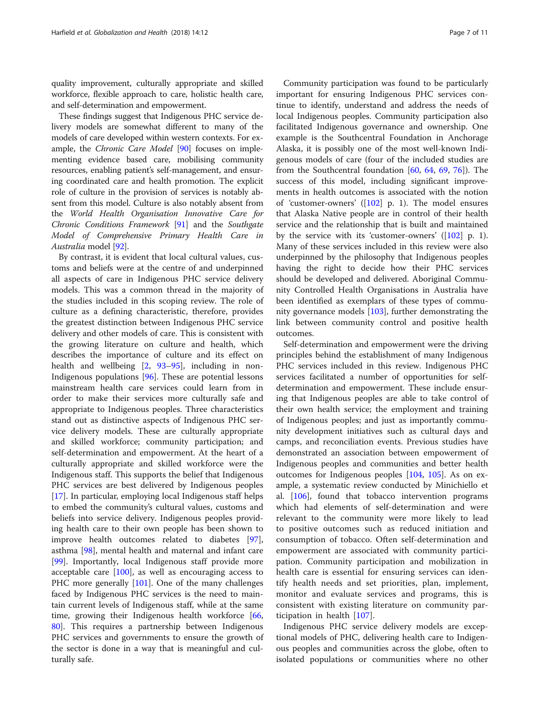quality improvement, culturally appropriate and skilled workforce, flexible approach to care, holistic health care, and self-determination and empowerment.

These findings suggest that Indigenous PHC service delivery models are somewhat different to many of the models of care developed within western contexts. For example, the Chronic Care Model [\[90\]](#page-9-0) focuses on implementing evidence based care, mobilising community resources, enabling patient's self-management, and ensuring coordinated care and health promotion. The explicit role of culture in the provision of services is notably absent from this model. Culture is also notably absent from the World Health Organisation Innovative Care for Chronic Conditions Framework [\[91\]](#page-9-0) and the Southgate Model of Comprehensive Primary Health Care in Australia model [\[92](#page-9-0)].

By contrast, it is evident that local cultural values, customs and beliefs were at the centre of and underpinned all aspects of care in Indigenous PHC service delivery models. This was a common thread in the majority of the studies included in this scoping review. The role of culture as a defining characteristic, therefore, provides the greatest distinction between Indigenous PHC service delivery and other models of care. This is consistent with the growing literature on culture and health, which describes the importance of culture and its effect on health and wellbeing [\[2](#page-8-0), [93](#page-9-0)–[95\]](#page-9-0), including in non-Indigenous populations [[96\]](#page-9-0). These are potential lessons mainstream health care services could learn from in order to make their services more culturally safe and appropriate to Indigenous peoples. Three characteristics stand out as distinctive aspects of Indigenous PHC service delivery models. These are culturally appropriate and skilled workforce; community participation; and self-determination and empowerment. At the heart of a culturally appropriate and skilled workforce were the Indigenous staff. This supports the belief that Indigenous PHC services are best delivered by Indigenous peoples [[17\]](#page-8-0). In particular, employing local Indigenous staff helps to embed the community's cultural values, customs and beliefs into service delivery. Indigenous peoples providing health care to their own people has been shown to improve health outcomes related to diabetes [\[97](#page-9-0)], asthma [\[98](#page-9-0)], mental health and maternal and infant care [[99\]](#page-9-0). Importantly, local Indigenous staff provide more acceptable care [[100\]](#page-9-0), as well as encouraging access to PHC more generally [[101\]](#page-9-0). One of the many challenges faced by Indigenous PHC services is the need to maintain current levels of Indigenous staff, while at the same time, growing their Indigenous health workforce [[66](#page-9-0), [80\]](#page-9-0). This requires a partnership between Indigenous PHC services and governments to ensure the growth of the sector is done in a way that is meaningful and culturally safe.

Community participation was found to be particularly important for ensuring Indigenous PHC services continue to identify, understand and address the needs of local Indigenous peoples. Community participation also facilitated Indigenous governance and ownership. One example is the Southcentral Foundation in Anchorage Alaska, it is possibly one of the most well-known Indigenous models of care (four of the included studies are from the Southcentral foundation [[60,](#page-9-0) [64](#page-9-0), [69](#page-9-0), [76](#page-9-0)]). The success of this model, including significant improvements in health outcomes is associated with the notion of 'customer-owners' ([\[102](#page-9-0)] p. 1). The model ensures that Alaska Native people are in control of their health service and the relationship that is built and maintained by the service with its 'customer-owners' ([\[102\]](#page-9-0) p. 1). Many of these services included in this review were also underpinned by the philosophy that Indigenous peoples having the right to decide how their PHC services should be developed and delivered. Aboriginal Community Controlled Health Organisations in Australia have been identified as exemplars of these types of community governance models [[103](#page-9-0)], further demonstrating the link between community control and positive health outcomes.

Self-determination and empowerment were the driving principles behind the establishment of many Indigenous PHC services included in this review. Indigenous PHC services facilitated a number of opportunities for selfdetermination and empowerment. These include ensuring that Indigenous peoples are able to take control of their own health service; the employment and training of Indigenous peoples; and just as importantly community development initiatives such as cultural days and camps, and reconciliation events. Previous studies have demonstrated an association between empowerment of Indigenous peoples and communities and better health outcomes for Indigenous peoples [\[104,](#page-9-0) [105\]](#page-9-0). As on example, a systematic review conducted by Minichiello et al. [[106\]](#page-10-0), found that tobacco intervention programs which had elements of self-determination and were relevant to the community were more likely to lead to positive outcomes such as reduced initiation and consumption of tobacco. Often self-determination and empowerment are associated with community participation. Community participation and mobilization in health care is essential for ensuring services can identify health needs and set priorities, plan, implement, monitor and evaluate services and programs, this is consistent with existing literature on community participation in health [[107](#page-10-0)].

Indigenous PHC service delivery models are exceptional models of PHC, delivering health care to Indigenous peoples and communities across the globe, often to isolated populations or communities where no other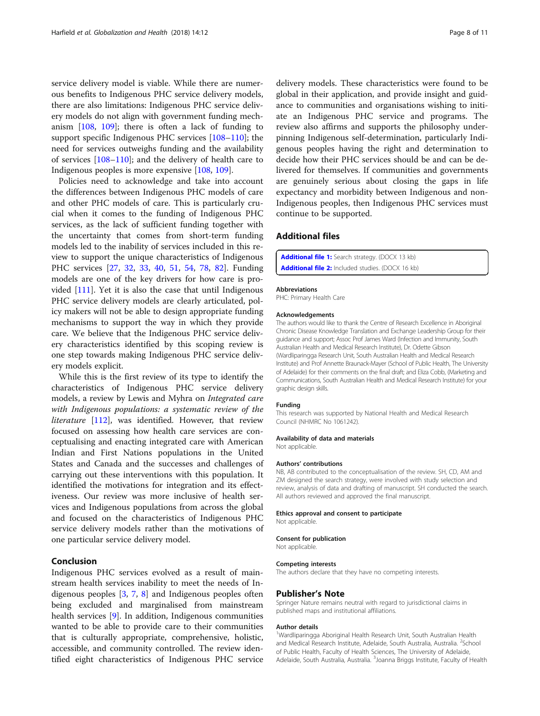<span id="page-7-0"></span>service delivery model is viable. While there are numerous benefits to Indigenous PHC service delivery models, there are also limitations: Indigenous PHC service delivery models do not align with government funding mechanism [\[108](#page-10-0), [109](#page-10-0)]; there is often a lack of funding to support specific Indigenous PHC services [[108](#page-10-0)–[110](#page-10-0)]; the need for services outweighs funding and the availability of services [[108](#page-10-0)–[110](#page-10-0)]; and the delivery of health care to Indigenous peoples is more expensive [[108](#page-10-0), [109](#page-10-0)].

Policies need to acknowledge and take into account the differences between Indigenous PHC models of care and other PHC models of care. This is particularly crucial when it comes to the funding of Indigenous PHC services, as the lack of sufficient funding together with the uncertainty that comes from short-term funding models led to the inability of services included in this review to support the unique characteristics of Indigenous PHC services [[27,](#page-8-0) [32](#page-8-0), [33,](#page-8-0) [40](#page-8-0), [51](#page-8-0), [54,](#page-9-0) [78](#page-9-0), [82\]](#page-9-0). Funding models are one of the key drivers for how care is provided [\[111](#page-10-0)]. Yet it is also the case that until Indigenous PHC service delivery models are clearly articulated, policy makers will not be able to design appropriate funding mechanisms to support the way in which they provide care. We believe that the Indigenous PHC service delivery characteristics identified by this scoping review is one step towards making Indigenous PHC service delivery models explicit.

While this is the first review of its type to identify the characteristics of Indigenous PHC service delivery models, a review by Lewis and Myhra on Integrated care with Indigenous populations: a systematic review of the literature [[112\]](#page-10-0), was identified. However, that review focused on assessing how health care services are conceptualising and enacting integrated care with American Indian and First Nations populations in the United States and Canada and the successes and challenges of carrying out these interventions with this population. It identified the motivations for integration and its effectiveness. Our review was more inclusive of health services and Indigenous populations from across the global and focused on the characteristics of Indigenous PHC service delivery models rather than the motivations of one particular service delivery model.

# Conclusion

Indigenous PHC services evolved as a result of mainstream health services inability to meet the needs of Indigenous peoples [\[3](#page-8-0), [7](#page-8-0), [8\]](#page-8-0) and Indigenous peoples often being excluded and marginalised from mainstream health services [[9\]](#page-8-0). In addition, Indigenous communities wanted to be able to provide care to their communities that is culturally appropriate, comprehensive, holistic, accessible, and community controlled. The review identified eight characteristics of Indigenous PHC service

delivery models. These characteristics were found to be global in their application, and provide insight and guidance to communities and organisations wishing to initiate an Indigenous PHC service and programs. The review also affirms and supports the philosophy underpinning Indigenous self-determination, particularly Indigenous peoples having the right and determination to decide how their PHC services should be and can be delivered for themselves. If communities and governments are genuinely serious about closing the gaps in life expectancy and morbidity between Indigenous and non-Indigenous peoples, then Indigenous PHC services must continue to be supported.

# Additional files

[Additional file 1:](dx.doi.org/10.1186/s12992-018-0332-2) Search strategy. (DOCX 13 kb) [Additional file 2:](dx.doi.org/10.1186/s12992-018-0332-2) Included studies. (DOCX 16 kb)

#### Abbreviations

PHC: Primary Health Care

#### Acknowledgements

The authors would like to thank the Centre of Research Excellence in Aboriginal Chronic Disease Knowledge Translation and Exchange Leadership Group for their guidance and support; Assoc Prof James Ward (Infection and Immunity, South Australian Health and Medical Research Institute), Dr. Odette Gibson (Wardliparingga Research Unit, South Australian Health and Medical Research Institute) and Prof Annette Braunack-Mayer (School of Public Health, The University of Adelaide) for their comments on the final draft; and Eliza Cobb, (Marketing and Communications, South Australian Health and Medical Research Institute) for your graphic design skills.

#### Funding

This research was supported by National Health and Medical Research Council (NHMRC No 1061242).

#### Availability of data and materials

Not applicable.

#### Authors' contributions

NB, AB contributed to the conceptualisation of the review. SH, CD, AM and ZM designed the search strategy, were involved with study selection and review, analysis of data and drafting of manuscript. SH conducted the search. All authors reviewed and approved the final manuscript.

#### Ethics approval and consent to participate

Not applicable.

Consent for publication Not applicable.

# Competing interests

The authors declare that they have no competing interests.

#### Publisher's Note

Springer Nature remains neutral with regard to jurisdictional claims in published maps and institutional affiliations.

#### Author details

<sup>1</sup>Wardliparingga Aboriginal Health Research Unit, South Australian Health and Medical Research Institute, Adelaide, South Australia, Australia. <sup>2</sup>School of Public Health, Faculty of Health Sciences, The University of Adelaide, Adelaide, South Australia, Australia. <sup>3</sup> Joanna Briggs Institute, Faculty of Health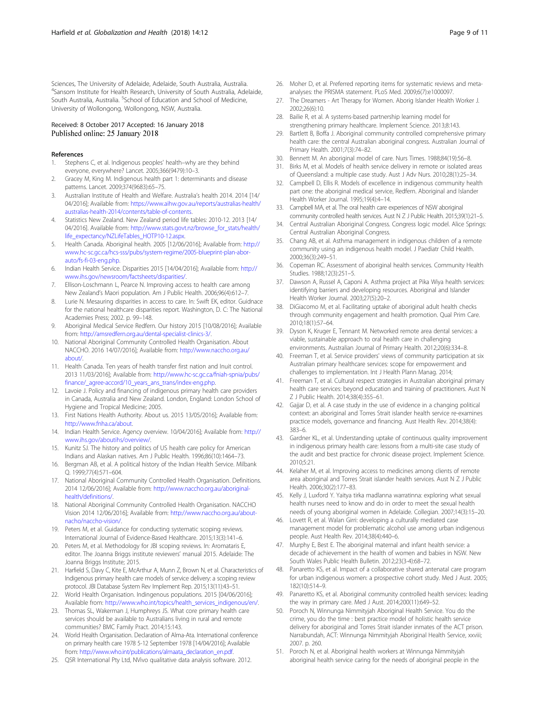<span id="page-8-0"></span>Sciences, The University of Adelaide, Adelaide, South Australia, Australia. <sup>4</sup>Sansom Institute for Health Research, University of South Australia, Adelaide, South Australia, Australia. <sup>5</sup>School of Education and School of Medicine, University of Wollongong, Wollongong, NSW, Australia.

# Received: 8 October 2017 Accepted: 16 January 2018 Published online: 25 January 2018

#### References

- 1. Stephens C, et al. Indigenous peoples' health–why are they behind everyone, everywhere? Lancet. 2005;366(9479):10–3.
- 2. Gracey M, King M. Indigenous health part 1: determinants and disease patterns. Lancet. 2009;374(9683):65–75.
- 3. Australian Institute of Health and Welfare. Australia's health 2014. 2014 [14/ 04/2016]; Available from: [https://www.aihw.gov.au/reports/australias-health/](https://www.aihw.gov.au/reports/australias-health/australias-health-2014/contents/table-of-contents) [australias-health-2014/contents/table-of-contents](https://www.aihw.gov.au/reports/australias-health/australias-health-2014/contents/table-of-contents).
- 4. Statistics New Zealand. New Zealand period life tables: 2010-12. 2013 [14/ 04/2016]. Available from: [http://www.stats.govt.nz/browse\\_for\\_stats/health/](http://www.stats.govt.nz/browse_for_stats/health/life_expectancy/NZLifeTables_HOTP10-12.aspx) [life\\_expectancy/NZLifeTables\\_HOTP10-12.aspx](http://www.stats.govt.nz/browse_for_stats/health/life_expectancy/NZLifeTables_HOTP10-12.aspx).
- 5. Health Canada. Aboriginal health. 2005 [12/06/2016]; Available from: [http://](http://www.hc-sc.gc.ca/hcs-sss/pubs/system-regime/2005-blueprint-plan-abor-auto/fs-fi-03-eng.php) [www.hc-sc.gc.ca/hcs-sss/pubs/system-regime/2005-blueprint-plan-abor](http://www.hc-sc.gc.ca/hcs-sss/pubs/system-regime/2005-blueprint-plan-abor-auto/fs-fi-03-eng.php)[auto/fs-fi-03-eng.php.](http://www.hc-sc.gc.ca/hcs-sss/pubs/system-regime/2005-blueprint-plan-abor-auto/fs-fi-03-eng.php)
- 6. Indian Health Service. Disparities 2015 [14/04/2016]; Available from: [http://](http://www.ihs.gov/newsroom/factsheets/disparities/) [www.ihs.gov/newsroom/factsheets/disparities/.](http://www.ihs.gov/newsroom/factsheets/disparities/)
- 7. Ellison-Loschmann L, Pearce N. Improving access to health care among New Zealand's Maori population. Am J Public Health. 2006;96(4):612–7.
- 8. Lurie N. Mesauring disparities in access to care. In: Swift EK, editor. Guidnace for the national healthcare disparities report. Washington, D. C: The National Academies Press; 2002. p. 99–148.
- 9. Aboriginal Medical Service Redfern. Our history 2015 [10/08/2016]; Available from: <http://amsredfern.org.au/dental-specialist-clinics-3/>.
- 10. National Aboriginal Community Controlled Health Organisation. About NACCHO. 2016 14/07/2016]; Available from: [http://www.naccho.org.au/](http://www.naccho.org.au/about/) [about/.](http://www.naccho.org.au/about/)
- 11. Health Canada. Ten years of health transfer first nation and Inuit control. 2013 11/03/2016]; Available from: [http://www.hc-sc.gc.ca/fniah-spnia/pubs/](http://www.hc-sc.gc.ca/fniah-spnia/pubs/finance/_agree-accord/10_years_ans_trans/index-eng.php) [finance/\\_agree-accord/10\\_years\\_ans\\_trans/index-eng.php](http://www.hc-sc.gc.ca/fniah-spnia/pubs/finance/_agree-accord/10_years_ans_trans/index-eng.php).
- 12. Lavoie J. Policy and financing of indigenous primary health care providers in Canada, Australia and New Zealand. London, England: London School of Hygiene and Tropical Medicine; 2005.
- 13. First Nations Health Authority. About us. 2015 13/05/2016]; Available from: [http://www.fnha.ca/about.](http://www.fnha.ca/about)
- 14. Indian Health Service. Agency overview. 10/04/2016]; Available from: [http://](http://www.ihs.gov/aboutihs/overview) [www.ihs.gov/aboutihs/overview/.](http://www.ihs.gov/aboutihs/overview)
- 15. Kunitz SJ. The history and politics of US health care policy for American Indians and Alaskan natives. Am J Public Health. 1996;86(10):1464–73.
- 16. Bergman AB, et al. A political history of the Indian Health Service. Milbank Q. 1999;77(4):571–604.
- 17. National Aboriginal Community Controlled Health Organisation. Definitions. 2014 12/06/2016]; Available from: [http://www.naccho.org.au/aboriginal](http://www.naccho.org.au/aboriginal-health/definitions/)[health/definitions/](http://www.naccho.org.au/aboriginal-health/definitions/).
- 18. National Aboriginal Community Controlled Health Organisation. NACCHO Vision 2014 12/06/2016]; Available from: [http://www.naccho.org.au/about](http://www.naccho.org.au/about-nacho/naccho-vision/)[nacho/naccho-vision/](http://www.naccho.org.au/about-nacho/naccho-vision/).
- 19. Peters M, et al. Guidance for conducting systematic scoping reviews. International Journal of Evidence-Based Healthcare. 2015;13(3):141–6.
- 20. Peters M, et al. Methodology for JBI scoping reviews. In: Aromataris E, editor. The Joanna Briggs institute reviewers' manual 2015. Adelaide: The Joanna Briggs Institute; 2015.
- 21. Harfield S, Davy C, Kite E, McArthur A, Munn Z, Brown N, et al. Characteristics of Indigenous primary health care models of service delivery: a scoping review protocol. JBI Database System Rev Implement Rep. 2015;13(11):43–51.
- 22. World Health Organisation. Indingenous populations. 2015 [04/06/2016]; Available from: [http://www.who.int/topics/health\\_services\\_indigenous/en/](http://www.who.int/topics/health_services_indigenous/en/).
- 23. Thomas SL, Wakerman J, Humphreys JS. What core primary health care services should be available to Australians living in rural and remote communities? BMC Family Pract. 2014;15:143.
- 24. World Health Organisation. Declaration of Alma-Ata. International conference on primary health care 1978 5-12 September 1978 [14/04/2016]; Available from: [http://www.who.int/publications/almaata\\_declaration\\_en.pdf.](http://www.who.int/publications/almaata_declaration_en.pdf)
- 25. QSR International Pty Ltd, NVivo qualitative data analysis software. 2012.
- 26. Moher D, et al. Preferred reporting items for systematic reviews and metaanalyses: the PRISMA statement. PLoS Med. 2009;6(7):e1000097.
- 27. The Dreamers Art Therapy for Women. Aborig Islander Health Worker J. 2002;26(6):10.
- 28. Bailie R, et al. A systems-based partnership learning model for strengthening primary healthcare. Implement Science. 2013;8:143.
- 29. Bartlett B, Boffa J. Aboriginal community controlled comprehensive primary health care: the central Australian aboriginal congress. Australian Journal of Primary Health. 2001;7(3):74–82.
- 30. Bennett M. An aboriginal model of care. Nurs Times. 1988;84(19):56–8.
- 31. Birks M, et al. Models of health service delivery in remote or isolated areas of Queensland: a multiple case study. Aust J Adv Nurs. 2010;28(1):25–34.
- 32. Campbell D, Ellis R. Models of excellence in indigenous community health part one: the aboriginal medical service, Redfern. Aboriginal and Islander Health Worker Journal. 1995;19(4):4–14.
- 33. Campbell MA, et al. The oral health care experiences of NSW aboriginal community controlled health services. Aust N Z J Public Health. 2015;39(1):21–5.
- 34. Central Australian Aboriginal Congress. Congress logic model. Alice Springs: Central Australian Aboriginal Congress.
- 35. Chang AB, et al. Asthma management in indigenous children of a remote community using an indigenous health model. J Paediatr Child Health. 2000;36(3):249–51.
- 36. Copeman RC. Assessment of aboriginal health services. Community Health Studies. 1988;12(3):251–5.
- 37. Dawson A, Russel A, Caponi A. Asthma project at Pika Wiya health services: identifying barriers and developing resources. Aboriginal and Islander Health Worker Journal. 2003;27(5):20–2.
- 38. DiGiacomo M, et al. Facilitating uptake of aboriginal adult health checks through community engagement and health promotion. Qual Prim Care. 2010;18(1):57–64.
- 39. Dyson K, Kruger E, Tennant M. Networked remote area dental services: a viable, sustainable approach to oral health care in challenging environments. Australian Journal of Primary Health. 2012;20(6):334–8.
- 40. Freeman T, et al. Service providers' views of community participation at six Australian primary healthcare services: scope for empowerment and challenges to implementation. Int J Health Plann Manag. 2014;
- 41. Freeman T, et al. Cultural respect strategies in Australian aboriginal primary health care services: beyond education and training of practitioners. Aust N Z J Public Health. 2014;38(4):355–61.
- 42. Gajjar D, et al. A case study in the use of evidence in a changing political context: an aboriginal and Torres Strait islander health service re-examines practice models, governance and financing. Aust Health Rev. 2014;38(4): 383–6.
- 43. Gardner KL, et al. Understanding uptake of continuous quality improvement in indigenous primary health care: lessons from a multi-site case study of the audit and best practice for chronic disease project. Implement Science. 2010;5:21.
- 44. Kelaher M, et al. Improving access to medicines among clients of remote area aboriginal and Torres Strait islander health services. Aust N Z J Public Health. 2006;30(2):177–83.
- 45. Kelly J, Luxford Y. Yaitya tirka madlanna warratinna: exploring what sexual health nurses need to know and do in order to meet the sexual health needs of young aboriginal women in Adelaide. Collegian. 2007;14(3):15–20.
- 46. Lovett R, et al. Walan Girri: developing a culturally mediated case management model for problematic alcohol use among urban indigenous people. Aust Health Rev. 2014;38(4):440–6.
- 47. Murphy E, Best E. The aboriginal maternal and infant health service: a decade of achievement in the health of women and babies in NSW. New South Wales Public Health Bulletin. 2012;23(3-4):68–72.
- 48. Panaretto KS, et al. Impact of a collaborative shared antenatal care program for urban indigenous women: a prospective cohort study. Med J Aust. 2005; 182(10):514–9.
- 49. Panaretto KS, et al. Aboriginal community controlled health services: leading the way in primary care. Med J Aust. 2014;200(11):649–52.
- 50. Poroch N, Winnunga Nimmityjah Aboriginal Health Service. You do the crime, you do the time : best practice model of holistic health service delivery for aboriginal and Torres Strait islander inmates of the ACT prison. Narrabundah, ACT: Winnunga Nimmityjah Aboriginal Health Service, xxviii; 2007. p. 260.
- 51. Poroch N, et al. Aboriginal health workers at Winnunga Nimmityjah aboriginal health service caring for the needs of aboriginal people in the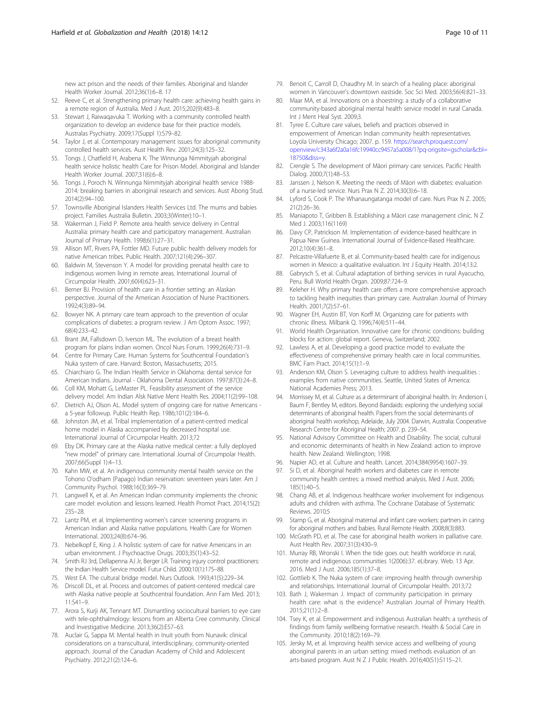<span id="page-9-0"></span>new act prison and the needs of their families. Aboriginal and Islander Health Worker Journal. 2012;36(1):6–8. 17

- 52. Reeve C, et al. Strengthening primary health care: achieving health gains in a remote region of Australia. Med J Aust. 2015;202(9):483–8.
- 53. Stewart J, Raiwaqavuka T. Working with a community controlled health organization to develop an evidence base for their practice models. Australas Psychiatry. 2009;17(Suppl 1):S79–82.
- 54. Taylor J, et al. Contemporary management issues for aboriginal community controlled health services. Aust Health Rev. 2001;24(3):125–32.
- 55. Tongs J, Chatfield H, Arabena K. The Winnunga Nimmityjah aboriginal health service holistic health Care for Prison Model. Aboriginal and Islander Health Worker Journal. 2007;31(6):6–8.
- 56. Tongs J, Poroch N. Winnunga Nimmityjah aboriginal health service 1988- 2014: breaking barriers in aboriginal research and services. Aust Aborig Stud. 2014(2):94–100.
- 57. Townsville Aboriginal Islanders Health Services Ltd. The mums and babies project. Families Australia Bulletin. 2003;3(Winter):10–1.
- 58. Wakerman J, Field P. Remote area health service delivery in Central Australia: primary health care and participatory management. Australian Journal of Primary Health. 1998;6(1):27–31.
- 59. Allison MT, Rivers PA, Fottler MD. Future public health delivery models for native American tribes. Public Health. 2007;121(4):296–307.
- 60. Baldwin M, Stevenson Y. A model for providing prenatal health care to indigenous women living in remote areas. International Journal of Circumpolar Health. 2001;60(4):623–31.
- 61. Berner BJ. Provision of health care in a frontier setting: an Alaskan perspective. Journal of the American Association of Nurse Practitioners. 1992;4(3):89–94.
- 62. Bowyer NK. A primary care team approach to the prevention of ocular complications of diabetes: a program review. J Am Optom Assoc. 1997; 68(4):233–42.
- 63. Brant JM, Fallsdown D, Iverson ML. The evolution of a breast health program for plains Indian women. Oncol Nurs Forum. 1999;26(4):731–9.
- 64. Centre for Primary Care. Human Systems for Southcentral Foundation's Nuka system of care. Harvard: Boston, Massachusetts; 2015.
- 65. Chiarchiaro G. The Indian Health Service in Oklahoma: dental service for American Indians. Journal - Oklahoma Dental Association. 1997;87(3):24–8.
- 66. Coll KM, Mohatt G, LeMaster PL. Feasibility assessment of the service delivery model. Am Indian Alsk Native Ment Health Res. 2004;11(2):99–108.
- 67. Dietrich AJ, Olson AL. Model system of ongoing care for native Americans a 5-year followup. Public Health Rep. 1986;101(2):184–6.
- 68. Johnston JM, et al. Tribal implementation of a patient-centred medical home model in Alaska accompanied by decreased hospital use. International Journal of Circumpolar Health. 2013;72
- 69. Eby DK. Primary care at the Alaska native medical center: a fully deployed "new model" of primary care. International Journal of Circumpolar Health. 2007;66(Suppl 1):4–13.
- 70. Kahn MW, et al. An indigenous community mental health service on the Tohono O'odham (Papago) Indian reservation: seventeen years later. Am J Community Psychol. 1988;16(3):369–79.
- 71. Langwell K, et al. An American Indian community implements the chronic care model: evolution and lessons learned. Health Promot Pract. 2014;15(2): 23S–28.
- 72. Lantz PM, et al. Implementing women's cancer screening programs in American Indian and Alaska native populations. Health Care for Women International. 2003;24(8):674–96.
- 73. Nebelkopf E, King J. A holistic system of care for native Americans in an urban environment. J Psychoactive Drugs. 2003;35(1):43–52.
- 74. Smith RJ 3rd, Dellapenna AJ Jr, Berger LR. Training injury control practitioners: the Indian Health Service model. Futur Child. 2000;10(1):175–88.
- 75. West EA. The cultural bridge model. Nurs Outlook. 1993;41(5):229–34.
- 76. Driscoll DL, et al. Process and outcomes of patient-centered medical care with Alaska native people at Southcentral foundation. Ann Fam Med. 2013; 11:S41–9.
- 77. Arora S, Kurji AK, Tennant MT. Dismantling sociocultural barriers to eye care with tele-ophthalmology: lessons from an Alberta Cree community. Clinical and Investigative Medicine. 2013;36(2):E57–63.
- 78. Auclair G, Sappa M. Mental health in Inuit youth from Nunavik: clinical considerations on a transcultural, interdisciplinary, community-oriented approach. Journal of the Canadian Academy of Child and Adolescent Psychiatry. 2012;21(2):124–6.
- 79. Benoit C, Carroll D, Chaudhry M. In search of a healing place: aboriginal women in Vancouver's downtown eastside. Soc Sci Med. 2003;56(4):821–33.
- 80. Maar MA, et al. Innovations on a shoestring: a study of a collaborative community-based aboriginal mental health service model in rural Canada. Int J Ment Heal Syst. 2009;3.
- 81. Tyree E. Culture care values, beliefs and practices observed in empowerment of American Indian community health representatives. Loyola University Chicago; 2007. p. 159. [https://search.proquest.com/](https://search.proquest.com/openview/c343a6f2a0a16fc19940cc9457a5a008/1?pq-origsite=gscholar&cbl=18750&diss=y) [openview/c343a6f2a0a16fc19940cc9457a5a008/1?pq-origsite=gscholar&cbl=](https://search.proquest.com/openview/c343a6f2a0a16fc19940cc9457a5a008/1?pq-origsite=gscholar&cbl=18750&diss=y) [18750&diss=y.](https://search.proquest.com/openview/c343a6f2a0a16fc19940cc9457a5a008/1?pq-origsite=gscholar&cbl=18750&diss=y)
- 82. Crengle S. The development of Māori primary care services. Pacific Health Dialog. 2000;7(1):48–53.
- 83. Janssen J, Nelson K. Meeting the needs of Māori with diabetes: evaluation of a nurse-led service. Nurs Prax N Z. 2014;30(3):6–18.
- 84. Lyford S, Cook P. The Whanaungatanga model of care. Nurs Prax N Z. 2005; 21(2):26–36.
- 85. Maniapoto T, Gribben B. Establishing a Māori case management clinic. N Z Med J. 2003;116(1169)
- 86. Davy CP, Patrickson M. Implementation of evidence-based healthcare in Papua New Guinea. International Journal of Evidence-Based Healthcare. 2012;10(4):361–8.
- 87. Pelcastre-Villafuerte B, et al. Community-based health care for indigenous women in Mexico: a qualitative evaluation. Int J Equity Health. 2014;13:2.
- 88. Gabrysch S, et al. Cultural adaptation of birthing services in rural Ayacucho, Peru. Bull World Health Organ. 2009;87:724–9.
- 89. Keleher H. Why primary health care offers a more comprehensive approach to tackling health inequities than primary care. Australian Journal of Primary Health. 2001;7(2):57–61.
- 90. Wagner EH, Austin BT, Von Korff M. Organizing care for patients with chronic illness. Milbank Q. 1996;74(4):511–44.
- 91. World Health Organisation. Innovative care for chronic conditions: building blocks for action: global report. Geneva, Switzerland; 2002.
- 92. Lawless A, et al. Developing a good practice model to evaluate the effectiveness of comprehensive primary health care in local communities. BMC Fam Pract. 2014;15(1):1–9.
- 93. Anderson KM, Olson S. Leveraging culture to address health inequalities : examples from native communities. Seattle, United States of America: National Academies Press; 2013.
- 94. Morrissey M, et al. Culture as a determinant of aboriginal health. In: Anderson I, Baum F, Bentley M, editors. Beyond Bandaids: exploring the underlying social determinants of aboriginal health. Papers from the social determinants of aboriginal health workshop, Adelaide, July 2004. Darwin, Australia: Cooperative Research Centre for Aboriginal Health; 2007. p. 239–54.
- 95. National Advisory Committee on Health and Disability. The social, cultural and economic determinants of health in New Zealand: action to improve health. New Zealand: Wellington; 1998.
- 96. Napier AD, et al. Culture and health. Lancet. 2014;384(9954):1607–39.
- 97. Si D, et al. Aboriginal health workers and diabetes care in remote community health centres: a mixed method analysis. Med J Aust. 2006; 185(1):40–5.
- 98. Chang AB, et al. Indigenous healthcare worker involvement for indigenous adults and children with asthma. The Cochrane Database of Systematic Reviews. 2010;5
- Stamp G, et al. Aboriginal maternal and infant care workers: partners in caring for aboriginal mothers and babies. Rural Remote Health. 2008;8(3):883.
- 100. McGrath PD, et al. The case for aboriginal health workers in palliative care. Aust Health Rev. 2007;31(3):430–9.
- 101. Murray RB, Wronski I. When the tide goes out: health workforce in rural, remote and indigenous communities 1(2006):37. eLibrary. Web. 13 Apr. 2016. Med J Aust. 2006;185(1):37–8.
- 102. Gottlieb K. The Nuka system of care: improving health through ownership and relationships. International Journal of Circumpolar Health. 2013;72
- 103. Bath J, Wakerman J. Impact of community participation in primary health care: what is the evidence? Australian Journal of Primary Health. 2015;21(1):2–8.
- 104. Tsey K, et al. Empowerment and indigenous Australian health: a synthesis of findings from family wellbeing formative research. Health & Social Care in the Community. 2010;18(2):169–79.
- 105. Jersky M, et al. Improving health service access and wellbeing of young aboriginal parents in an urban setting: mixed methods evaluation of an arts-based program. Aust N Z J Public Health. 2016;40(S1):S115–21.